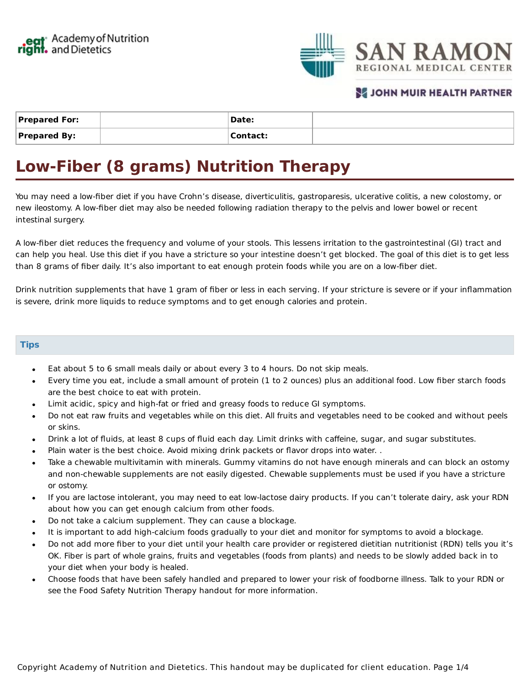

## **SE JOHN MUIR HEALTH PARTNER**

| <b>Prepared For:</b> | Date:    |  |
|----------------------|----------|--|
| <b>Prepared By:</b>  | Contact: |  |

# **Low-Fiber (8 grams) Nutrition Therapy**

You may need a low-fiber diet if you have Crohn's disease, diverticulitis, gastroparesis, ulcerative colitis, a new colostomy, or new ileostomy. A low-fiber diet may also be needed following radiation therapy to the pelvis and lower bowel or recent intestinal surgery.

A low-fiber diet reduces the frequency and volume of your stools. This lessens irritation to the gastrointestinal (GI) tract and can help you heal. Use this diet if you have a stricture so your intestine doesn't get blocked. The goal of this diet is to get less than 8 grams of fiber daily. It's also important to eat enough protein foods while you are on a low-fiber diet.

Drink nutrition supplements that have 1 gram of fiber or less in each serving. If your stricture is severe or if your inflammation is severe, drink more liquids to reduce symptoms and to get enough calories and protein.

#### **Tips**

- Eat about 5 to 6 small meals daily or about every 3 to 4 hours. Do not skip meals.
- Every time you eat, include a small amount of protein (1 to 2 ounces) plus an additional food. Low fiber starch foods are the best choice to eat with protein.
- Limit acidic, spicy and high-fat or fried and greasy foods to reduce GI symptoms.
- Do not eat raw fruits and vegetables while on this diet. All fruits and vegetables need to be cooked and without peels or skins.
- Drink a lot of fluids, at least 8 cups of fluid each day. Limit drinks with caffeine, sugar, and sugar substitutes.
- Plain water is the best choice. Avoid mixing drink packets or flavor drops into water. .
- Take a chewable multivitamin with minerals. Gummy vitamins do not have enough minerals and can block an ostomy and non-chewable supplements are not easily digested. Chewable supplements must be used if you have a stricture or ostomy.
- If you are lactose intolerant, you may need to eat low-lactose dairy products. If you can't tolerate dairy, ask your RDN about how you can get enough calcium from other foods.
- Do not take a calcium supplement. They can cause a blockage.
- It is important to add high-calcium foods gradually to your diet and monitor for symptoms to avoid a blockage.
- Do not add more fiber to your diet until your health care provider or registered dietitian nutritionist (RDN) tells you it's OK. Fiber is part of whole grains, fruits and vegetables (foods from plants) and needs to be slowly added back in to your diet when your body is healed.
- Choose foods that have been safely handled and prepared to lower your risk of foodborne illness. Talk to your RDN or  $\bullet$ see the Food Safety Nutrition Therapy handout for more information.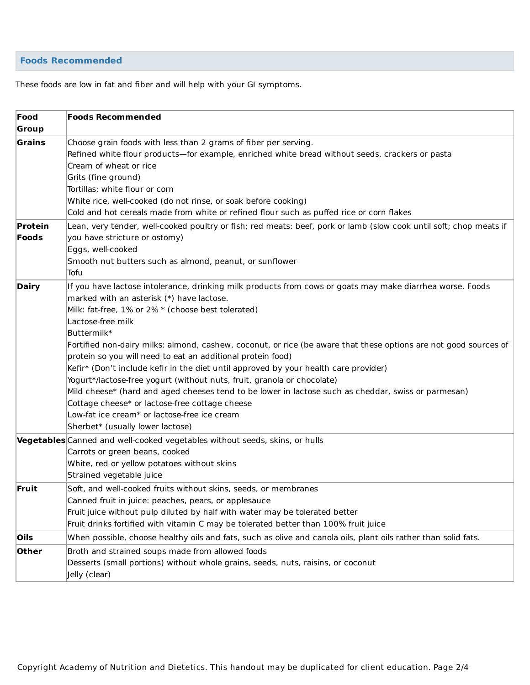### **Foods Recommended**

These foods are low in fat and fiber and will help with your GI symptoms.

| Food         | <b>Foods Recommended</b>                                                                                           |  |
|--------------|--------------------------------------------------------------------------------------------------------------------|--|
| Group        |                                                                                                                    |  |
| Grains       | Choose grain foods with less than 2 grams of fiber per serving.                                                    |  |
|              | Refined white flour products—for example, enriched white bread without seeds, crackers or pasta                    |  |
|              | Cream of wheat or rice                                                                                             |  |
|              | Grits (fine ground)                                                                                                |  |
|              | Tortillas: white flour or corn                                                                                     |  |
|              | White rice, well-cooked (do not rinse, or soak before cooking)                                                     |  |
|              | Cold and hot cereals made from white or refined flour such as puffed rice or corn flakes                           |  |
| Protein      | Lean, very tender, well-cooked poultry or fish; red meats: beef, pork or lamb (slow cook until soft; chop meats if |  |
| Foods        | you have stricture or ostomy)                                                                                      |  |
|              | Eggs, well-cooked                                                                                                  |  |
|              | Smooth nut butters such as almond, peanut, or sunflower                                                            |  |
|              | Tofu                                                                                                               |  |
| <b>Dairy</b> | If you have lactose intolerance, drinking milk products from cows or goats may make diarrhea worse. Foods          |  |
|              | marked with an asterisk (*) have lactose.                                                                          |  |
|              | Milk: fat-free, 1% or 2% * (choose best tolerated)                                                                 |  |
|              | Lactose-free milk                                                                                                  |  |
|              | Buttermilk*                                                                                                        |  |
|              | Fortified non-dairy milks: almond, cashew, coconut, or rice (be aware that these options are not good sources of   |  |
|              | protein so you will need to eat an additional protein food)                                                        |  |
|              | Kefir* (Don't include kefir in the diet until approved by your health care provider)                               |  |
|              | Yogurt*/lactose-free yogurt (without nuts, fruit, granola or chocolate)                                            |  |
|              | Mild cheese* (hard and aged cheeses tend to be lower in lactose such as cheddar, swiss or parmesan)                |  |
|              | Cottage cheese* or lactose-free cottage cheese                                                                     |  |
|              | Low-fat ice cream* or lactose-free ice cream                                                                       |  |
|              | Sherbet* (usually lower lactose)                                                                                   |  |
|              | Vegetables Canned and well-cooked vegetables without seeds, skins, or hulls                                        |  |
|              | Carrots or green beans, cooked                                                                                     |  |
|              | White, red or yellow potatoes without skins                                                                        |  |
|              | Strained vegetable juice                                                                                           |  |
| Fruit        | Soft, and well-cooked fruits without skins, seeds, or membranes                                                    |  |
|              | Canned fruit in juice: peaches, pears, or applesauce                                                               |  |
|              | Fruit juice without pulp diluted by half with water may be tolerated better                                        |  |
|              | Fruit drinks fortified with vitamin C may be tolerated better than 100% fruit juice                                |  |
| Oils         | When possible, choose healthy oils and fats, such as olive and canola oils, plant oils rather than solid fats.     |  |
| Other        | Broth and strained soups made from allowed foods                                                                   |  |
|              | Desserts (small portions) without whole grains, seeds, nuts, raisins, or coconut                                   |  |
|              | Jelly (clear)                                                                                                      |  |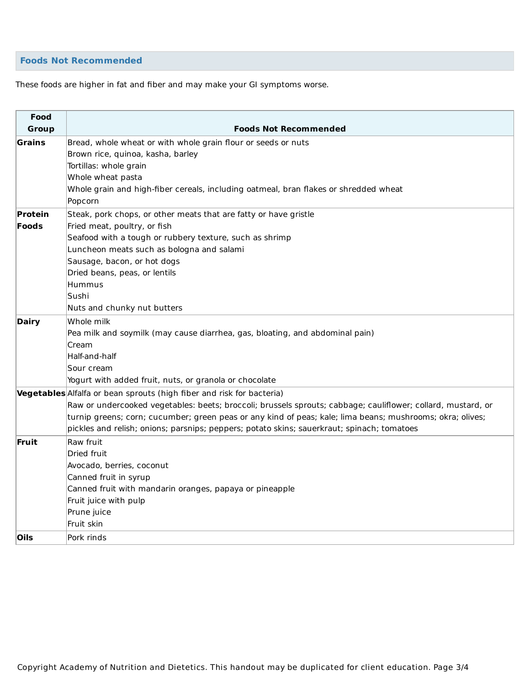### **Foods Not Recommended**

These foods are higher in fat and fiber and may make your GI symptoms worse.

| Food<br>Group | <b>Foods Not Recommended</b>                                                                                 |  |  |
|---------------|--------------------------------------------------------------------------------------------------------------|--|--|
| Grains        | Bread, whole wheat or with whole grain flour or seeds or nuts                                                |  |  |
|               | Brown rice, quinoa, kasha, barley                                                                            |  |  |
|               | Tortillas: whole grain                                                                                       |  |  |
|               | Whole wheat pasta                                                                                            |  |  |
|               | Whole grain and high-fiber cereals, including oatmeal, bran flakes or shredded wheat                         |  |  |
|               | Popcorn                                                                                                      |  |  |
| Protein       | Steak, pork chops, or other meats that are fatty or have gristle                                             |  |  |
| <b>Foods</b>  | Fried meat, poultry, or fish                                                                                 |  |  |
|               | Seafood with a tough or rubbery texture, such as shrimp                                                      |  |  |
|               | Luncheon meats such as bologna and salami                                                                    |  |  |
|               | Sausage, bacon, or hot dogs                                                                                  |  |  |
|               | Dried beans, peas, or lentils                                                                                |  |  |
|               | Hummus                                                                                                       |  |  |
|               | Sushi                                                                                                        |  |  |
|               | Nuts and chunky nut butters                                                                                  |  |  |
| <b>Dairy</b>  | Whole milk                                                                                                   |  |  |
|               | Pea milk and soymilk (may cause diarrhea, gas, bloating, and abdominal pain)                                 |  |  |
|               | Cream                                                                                                        |  |  |
|               | Half-and-half                                                                                                |  |  |
|               | Sour cream                                                                                                   |  |  |
|               | Yogurt with added fruit, nuts, or granola or chocolate                                                       |  |  |
|               | Vegetables Alfalfa or bean sprouts (high fiber and risk for bacteria)                                        |  |  |
|               | Raw or undercooked vegetables: beets; broccoli; brussels sprouts; cabbage; cauliflower; collard, mustard, or |  |  |
|               | turnip greens; corn; cucumber; green peas or any kind of peas; kale; lima beans; mushrooms; okra; olives;    |  |  |
|               | pickles and relish; onions; parsnips; peppers; potato skins; sauerkraut; spinach; tomatoes                   |  |  |
| Fruit         | Raw fruit                                                                                                    |  |  |
|               | Dried fruit                                                                                                  |  |  |
|               | Avocado, berries, coconut                                                                                    |  |  |
|               | Canned fruit in syrup                                                                                        |  |  |
|               | Canned fruit with mandarin oranges, papaya or pineapple                                                      |  |  |
|               | Fruit juice with pulp                                                                                        |  |  |
|               | Prune juice                                                                                                  |  |  |
|               | Fruit skin                                                                                                   |  |  |
| <b>Oils</b>   | Pork rinds                                                                                                   |  |  |